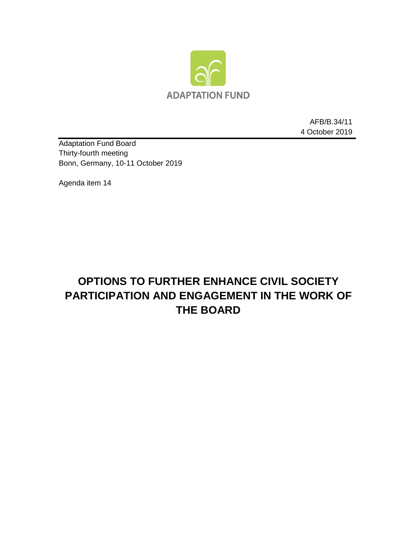

AFB/B.34/11 4 October 2019

Adaptation Fund Board Thirty-fourth meeting Bonn, Germany, 10-11 October 2019

Agenda item 14

# **OPTIONS TO FURTHER ENHANCE CIVIL SOCIETY PARTICIPATION AND ENGAGEMENT IN THE WORK OF THE BOARD**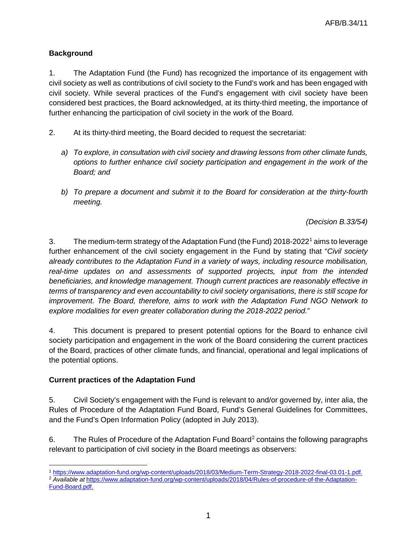## **Background**

1. The Adaptation Fund (the Fund) has recognized the importance of its engagement with civil society as well as contributions of civil society to the Fund's work and has been engaged with civil society. While several practices of the Fund's engagement with civil society have been considered best practices, the Board acknowledged, at its thirty-third meeting, the importance of further enhancing the participation of civil society in the work of the Board.

- 2. At its thirty-third meeting, the Board decided to request the secretariat:
	- *a) To explore, in consultation with civil society and drawing lessons from other climate funds, options to further enhance civil society participation and engagement in the work of the Board; and*
	- *b) To prepare a document and submit it to the Board for consideration at the thirty-fourth meeting.*

*(Decision B.33/54)* 

3. The medium-term strategy of the Adaptation Fund (the Fund) 2018-2022[1](#page-1-0) aims to leverage further enhancement of the civil society engagement in the Fund by stating that "*Civil society already contributes to the Adaptation Fund in a variety of ways, including resource mobilisation, real-time updates on and assessments of supported projects, input from the intended beneficiaries, and knowledge management. Though current practices are reasonably effective in terms of transparency and even accountability to civil society organisations, there is still scope for improvement. The Board, therefore, aims to work with the Adaptation Fund NGO Network to explore modalities for even greater collaboration during the 2018-2022 period.*"

4. This document is prepared to present potential options for the Board to enhance civil society participation and engagement in the work of the Board considering the current practices of the Board, practices of other climate funds, and financial, operational and legal implications of the potential options.

#### **Current practices of the Adaptation Fund**

5. Civil Society's engagement with the Fund is relevant to and/or governed by, inter alia, the Rules of Procedure of the Adaptation Fund Board, Fund's General Guidelines for Committees, and the Fund's Open Information Policy (adopted in July 2013).

6. The Rules of Procedure of the Adaptation Fund Board<sup>[2](#page-1-1)</sup> contains the following paragraphs relevant to participation of civil society in the Board meetings as observers:

 $\overline{a}$ <sup>1</sup> [https://www.adaptation-fund.org/wp-content/uploads/2018/03/Medium-Term-Strategy-2018-2022-final-03.01-1.pdf.](https://www.adaptation-fund.org/wp-content/uploads/2018/03/Medium-Term-Strategy-2018-2022-final-03.01-1.pdf)

<span id="page-1-1"></span><span id="page-1-0"></span><sup>2</sup> *Available at* [https://www.adaptation-fund.org/wp-content/uploads/2018/04/Rules-of-procedure-of-the-Adaptation-](https://www.adaptation-fund.org/wp-content/uploads/2018/04/Rules-of-procedure-of-the-Adaptation-Fund-Board.pdf)[Fund-Board.pdf.](https://www.adaptation-fund.org/wp-content/uploads/2018/04/Rules-of-procedure-of-the-Adaptation-Fund-Board.pdf)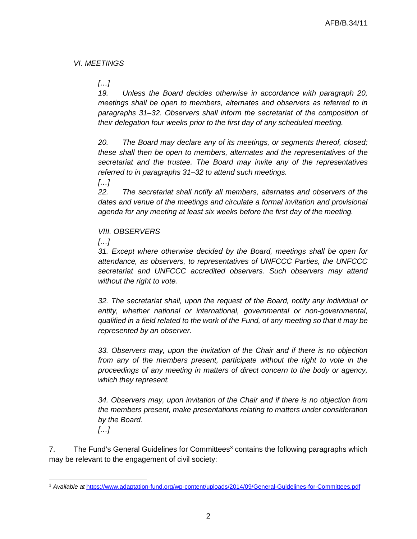## *VI. MEETINGS*

*[…]*

*19. Unless the Board decides otherwise in accordance with paragraph 20, meetings shall be open to members, alternates and observers as referred to in paragraphs 31–32. Observers shall inform the secretariat of the composition of their delegation four weeks prior to the first day of any scheduled meeting.*

*20. The Board may declare any of its meetings, or segments thereof, closed; these shall then be open to members, alternates and the representatives of the secretariat and the trustee. The Board may invite any of the representatives referred to in paragraphs 31–32 to attend such meetings.*

*[…]*

*22. The secretariat shall notify all members, alternates and observers of the*  dates and venue of the meetings and circulate a formal invitation and provisional *agenda for any meeting at least six weeks before the first day of the meeting.* 

#### *VIII. OBSERVERS*

*[…]*

*31. Except where otherwise decided by the Board, meetings shall be open for attendance, as observers, to representatives of UNFCCC Parties, the UNFCCC secretariat and UNFCCC accredited observers. Such observers may attend without the right to vote.*

*32. The secretariat shall, upon the request of the Board, notify any individual or entity, whether national or international, governmental or non-governmental, qualified in a field related to the work of the Fund, of any meeting so that it may be represented by an observer.*

*33. Observers may, upon the invitation of the Chair and if there is no objection from any of the members present, participate without the right to vote in the proceedings of any meeting in matters of direct concern to the body or agency, which they represent.*

*34. Observers may, upon invitation of the Chair and if there is no objection from the members present, make presentations relating to matters under consideration by the Board.*

*[…]*

7. The Fund's General Guidelines for Committees<sup>[3](#page-2-0)</sup> contains the following paragraphs which may be relevant to the engagement of civil society:

<span id="page-2-0"></span> $\overline{a}$ <sup>3</sup> *Available at* <https://www.adaptation-fund.org/wp-content/uploads/2014/09/General-Guidelines-for-Committees.pdf>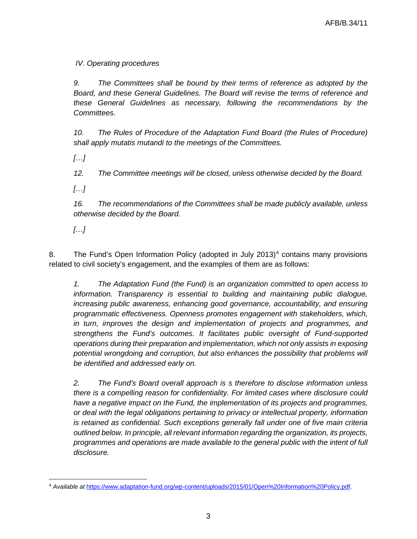# *IV. Operating procedures*

*9. The Committees shall be bound by their terms of reference as adopted by the Board, and these General Guidelines. The Board will revise the terms of reference and these General Guidelines as necessary, following the recommendations by the Committees.* 

*10. The Rules of Procedure of the Adaptation Fund Board (the Rules of Procedure) shall apply mutatis mutandi to the meetings of the Committees.*

*[…]*

*12. The Committee meetings will be closed, unless otherwise decided by the Board.* 

*[…]*

*16. The recommendations of the Committees shall be made publicly available, unless otherwise decided by the Board.* 

*[…]*

8. The Fund's Open Information Policy (adopted in July 2013)<sup>[4](#page-3-0)</sup> contains many provisions related to civil society's engagement, and the examples of them are as follows:

*1. The Adaptation Fund (the Fund) is an organization committed to open access to information. Transparency is essential to building and maintaining public dialogue, increasing public awareness, enhancing good governance, accountability, and ensuring programmatic effectiveness. Openness promotes engagement with stakeholders, which, in turn, improves the design and implementation of projects and programmes, and strengthens the Fund's outcomes. It facilitates public oversight of Fund-supported operations during their preparation and implementation, which not only assists in exposing*  potential wrongdoing and corruption, but also enhances the possibility that problems will *be identified and addressed early on.* 

*2. The Fund's Board overall approach is s therefore to disclose information unless there is a compelling reason for confidentiality. For limited cases where disclosure could have a negative impact on the Fund, the implementation of its projects and programmes, or deal with the legal obligations pertaining to privacy or intellectual property, information is retained as confidential. Such exceptions generally fall under one of five main criteria outlined below. In principle, all relevant information regarding the organization, its projects, programmes and operations are made available to the general public with the intent of full disclosure.*

<span id="page-3-0"></span> $\overline{a}$ <sup>4</sup> *Available at* [https://www.adaptation-fund.org/wp-content/uploads/2015/01/Open%20Information%20Policy.pdf.](https://www.adaptation-fund.org/wp-content/uploads/2015/01/Open%20Information%20Policy.pdf)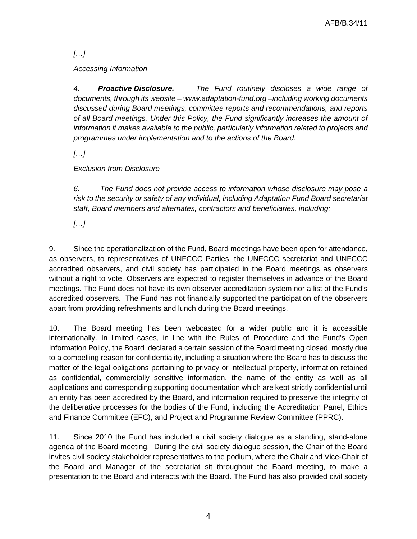*[…]*

*Accessing Information*

*4. Proactive Disclosure. The Fund routinely discloses a wide range of documents, through its website – www.adaptation-fund.org –including working documents discussed during Board meetings, committee reports and recommendations, and reports of all Board meetings. Under this Policy, the Fund significantly increases the amount of information it makes available to the public, particularly information related to projects and programmes under implementation and to the actions of the Board.*

*[…]*

*Exclusion from Disclosure*

*6. The Fund does not provide access to information whose disclosure may pose a risk to the security or safety of any individual, including Adaptation Fund Board secretariat staff, Board members and alternates, contractors and beneficiaries, including:*

*[…]*

9. Since the operationalization of the Fund, Board meetings have been open for attendance, as observers, to representatives of UNFCCC Parties, the UNFCCC secretariat and UNFCCC accredited observers, and civil society has participated in the Board meetings as observers without a right to vote. Observers are expected to register themselves in advance of the Board meetings. The Fund does not have its own observer accreditation system nor a list of the Fund's accredited observers. The Fund has not financially supported the participation of the observers apart from providing refreshments and lunch during the Board meetings.

10. The Board meeting has been webcasted for a wider public and it is accessible internationally. In limited cases, in line with the Rules of Procedure and the Fund's Open Information Policy, the Board declared a certain session of the Board meeting closed, mostly due to a compelling reason for confidentiality, including a situation where the Board has to discuss the matter of the legal obligations pertaining to privacy or intellectual property, information retained as confidential, commercially sensitive information, the name of the entity as well as all applications and corresponding supporting documentation which are kept strictly confidential until an entity has been accredited by the Board, and information required to preserve the integrity of the deliberative processes for the bodies of the Fund, including the Accreditation Panel, Ethics and Finance Committee (EFC), and Project and Programme Review Committee (PPRC).

11. Since 2010 the Fund has included a civil society dialogue as a standing, stand-alone agenda of the Board meeting. During the civil society dialogue session, the Chair of the Board invites civil society stakeholder representatives to the podium, where the Chair and Vice-Chair of the Board and Manager of the secretariat sit throughout the Board meeting, to make a presentation to the Board and interacts with the Board. The Fund has also provided civil society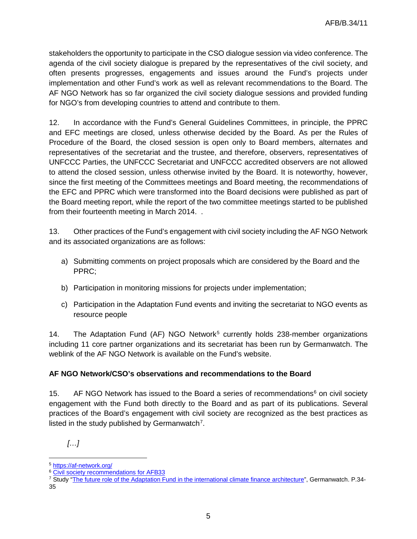stakeholders the opportunity to participate in the CSO dialogue session via video conference. The agenda of the civil society dialogue is prepared by the representatives of the civil society, and often presents progresses, engagements and issues around the Fund's projects under implementation and other Fund's work as well as relevant recommendations to the Board. The AF NGO Network has so far organized the civil society dialogue sessions and provided funding for NGO's from developing countries to attend and contribute to them.

12. In accordance with the Fund's General Guidelines Committees, in principle, the PPRC and EFC meetings are closed, unless otherwise decided by the Board. As per the Rules of Procedure of the Board, the closed session is open only to Board members, alternates and representatives of the secretariat and the trustee, and therefore, observers, representatives of UNFCCC Parties, the UNFCCC Secretariat and UNFCCC accredited observers are not allowed to attend the closed session, unless otherwise invited by the Board. It is noteworthy, however, since the first meeting of the Committees meetings and Board meeting, the recommendations of the EFC and PPRC which were transformed into the Board decisions were published as part of the Board meeting report, while the report of the two committee meetings started to be published from their fourteenth meeting in March 2014. .

13. Other practices of the Fund's engagement with civil society including the AF NGO Network and its associated organizations are as follows:

- a) Submitting comments on project proposals which are considered by the Board and the PPRC;
- b) Participation in monitoring missions for projects under implementation;
- c) Participation in the Adaptation Fund events and inviting the secretariat to NGO events as resource people

14. The Adaptation Fund (AF) NGO Network<sup>[5](#page-5-0)</sup> currently holds 238-member organizations including 11 core partner organizations and its secretariat has been run by Germanwatch. The weblink of the AF NGO Network is available on the Fund's website.

#### **AF NGO Network/CSO's observations and recommendations to the Board**

15. AF NGO Network has issued to the Board a series of recommendations<sup>[6](#page-5-1)</sup> on civil society engagement with the Fund both directly to the Board and as part of its publications. Several practices of the Board's engagement with civil society are recognized as the best practices as listed in the study published by Germanwatch<sup>[7](#page-5-2)</sup>.

*<sup>[…]</sup>*

 $\overline{a}$ <sup>5</sup> <https://af-network.org/>

<span id="page-5-1"></span><span id="page-5-0"></span><sup>6</sup> [Civil society recommendations for AFB33](https://af-network.org/5417)

<span id="page-5-2"></span><sup>&</sup>lt;sup>7</sup> Study ["The future role of the Adaptation Fund in the international climate finance architecture"](https://af-network.org/sites/af-network.org/files/2019-04/The%20%20future%20role%20of%20the%20Adaptation%20fund%20in%20the%20internatinal%20climate%20finance%20architecture.pdf), Germanwatch. P.34-35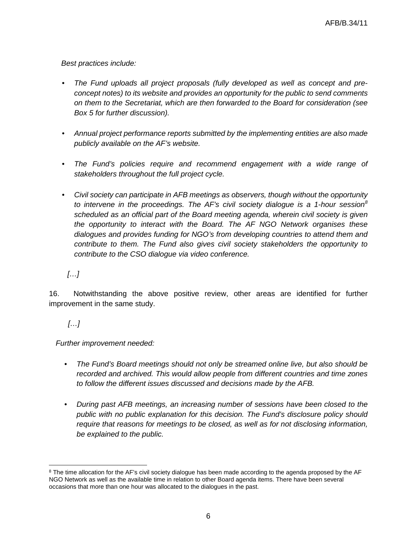*Best practices include:*

- *The Fund uploads all project proposals (fully developed as well as concept and preconcept notes) to its website and provides an opportunity for the public to send comments on them to the Secretariat, which are then forwarded to the Board for consideration (see Box 5 for further discussion).*
- *Annual project performance reports submitted by the implementing entities are also made publicly available on the AF's website.*
- *The Fund's policies require and recommend engagement with a wide range of stakeholders throughout the full project cycle.*
- *Civil society can participate in AFB meetings as observers, though without the opportunity to intervene in the proceedings. The AF's civil society dialogue is a 1-hour session[8](#page-6-0) scheduled as an official part of the Board meeting agenda, wherein civil society is given the opportunity to interact with the Board. The AF NGO Network organises these dialogues and provides funding for NGO's from developing countries to attend them and contribute to them. The Fund also gives civil society stakeholders the opportunity to contribute to the CSO dialogue via video conference.*

*[…]*

16. Notwithstanding the above positive review, other areas are identified for further improvement in the same study.

*[…]*

 $\overline{a}$ 

*Further improvement needed:*

- *The Fund's Board meetings should not only be streamed online live, but also should be recorded and archived. This would allow people from different countries and time zones to follow the different issues discussed and decisions made by the AFB.*
- *During past AFB meetings, an increasing number of sessions have been closed to the public with no public explanation for this decision. The Fund's disclosure policy should require that reasons for meetings to be closed, as well as for not disclosing information, be explained to the public.*

<span id="page-6-0"></span><sup>&</sup>lt;sup>8</sup> The time allocation for the AF's civil society dialogue has been made according to the agenda proposed by the AF NGO Network as well as the available time in relation to other Board agenda items. There have been several occasions that more than one hour was allocated to the dialogues in the past.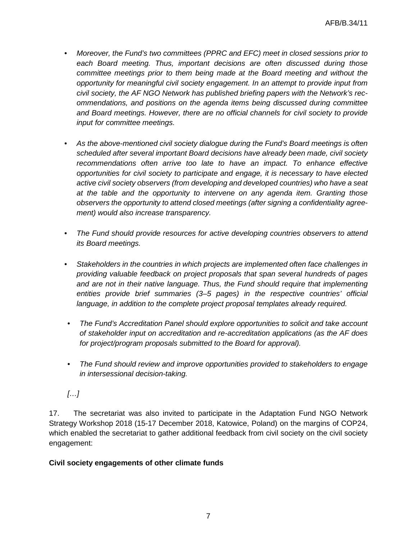- *Moreover, the Fund's two committees (PPRC and EFC) meet in closed sessions prior to*  each Board meeting. Thus, important decisions are often discussed during those *committee meetings prior to them being made at the Board meeting and without the opportunity for meaningful civil society engagement. In an attempt to provide input from civil society, the AF NGO Network has published briefing papers with the Network's recommendations, and positions on the agenda items being discussed during committee and Board meetings. However, there are no official channels for civil society to provide input for committee meetings.*
- *As the above-mentioned civil society dialogue during the Fund's Board meetings is often scheduled after several important Board decisions have already been made, civil society recommendations often arrive too late to have an impact. To enhance effective opportunities for civil society to participate and engage, it is necessary to have elected active civil society observers (from developing and developed countries) who have a seat at the table and the opportunity to intervene on any agenda item. Granting those observers the opportunity to attend closed meetings (after signing a confidentiality agreement) would also increase transparency.*
- *The Fund should provide resources for active developing countries observers to attend its Board meetings.*
- *Stakeholders in the countries in which projects are implemented often face challenges in providing valuable feedback on project proposals that span several hundreds of pages and are not in their native language. Thus, the Fund should require that implementing entities provide brief summaries (3–5 pages) in the respective countries' official language, in addition to the complete project proposal templates already required.*
- *The Fund's Accreditation Panel should explore opportunities to solicit and take account of stakeholder input on accreditation and re-accreditation applications (as the AF does for project/program proposals submitted to the Board for approval).*
- *The Fund should review and improve opportunities provided to stakeholders to engage in intersessional decision-taking.*
- *[…]*

17. The secretariat was also invited to participate in the Adaptation Fund NGO Network Strategy Workshop 2018 (15-17 December 2018, Katowice, Poland) on the margins of COP24, which enabled the secretariat to gather additional feedback from civil society on the civil society engagement:

#### **Civil society engagements of other climate funds**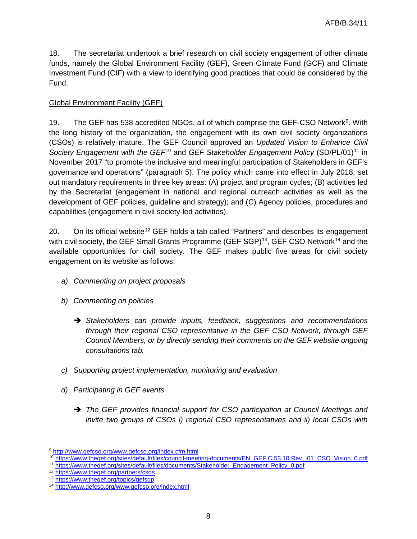18. The secretariat undertook a brief research on civil society engagement of other climate funds, namely the Global Environment Facility (GEF), Green Climate Fund (GCF) and Climate Investment Fund (CIF) with a view to identifying good practices that could be considered by the Fund.

## Global Environment Facility (GEF)

1[9](#page-8-0). The GEF has 538 accredited NGOs, all of which comprise the GEF-CSO Network<sup>9</sup>. With the long history of the organization, the engagement with its own civil society organizations (CSOs) is relatively mature. The GEF Council approved an *Updated Vision to Enhance Civil Society Engagement with the GEF*<sup>[10](#page-8-1)</sup> and *GEF Stakeholder Engagement Policy* (SD/PL/01)<sup>[11](#page-8-2)</sup> in November 2017 "to promote the inclusive and meaningful participation of Stakeholders in GEF's governance and operations" (paragraph 5). The policy which came into effect in July 2018, set out mandatory requirements in three key areas: (A) project and program cycles; (B) activities led by the Secretariat (engagement in national and regional outreach activities as well as the development of GEF policies, guideline and strategy); and (C) Agency policies, procedures and capabilities (engagement in civil society-led activities).

20. On its official website<sup>[12](#page-8-3)</sup> GEF holds a tab called "Partners" and describes its engagement with civil society, the GEF Small Grants Programme (GEF SGP) $^{13}$ , GEF CSO Network $^{14}$  $^{14}$  $^{14}$  and the available opportunities for civil society. The GEF makes public five areas for civil society engagement on its website as follows:

- *a) Commenting on project proposals*
- *b) Commenting on policies*
	- *Stakeholders can provide inputs, feedback, suggestions and recommendations through their regional CSO representative in the GEF CSO Network, through GEF Council Members, or by directly sending their comments on the GEF website ongoing consultations tab.*
- *c) Supporting project implementation, monitoring and evaluation*
- *d) Participating in GEF events*
	- *The GEF provides financial support for CSO participation at Council Meetings and invite two groups of CSOs i) regional CSO representatives and ii) local CSOs with*

<span id="page-8-0"></span> $\overline{a}$ <sup>9</sup> <http://www.gefcso.org/www.gefcso.org/index.cfm.html>

<span id="page-8-1"></span><sup>10</sup> [https://www.thegef.org/sites/default/files/council-meeting-documents/EN\\_GEF.C.53.10.Rev\\_.01\\_CSO\\_Vision\\_0.pdf](https://www.thegef.org/sites/default/files/council-meeting-documents/EN_GEF.C.53.10.Rev_.01_CSO_Vision_0.pdf)

<span id="page-8-2"></span><sup>11</sup> [https://www.thegef.org/sites/default/files/documents/Stakeholder\\_Engagement\\_Policy\\_0.pdf](https://www.thegef.org/sites/default/files/documents/Stakeholder_Engagement_Policy_0.pdf)

<span id="page-8-3"></span><sup>12</sup> <https://www.thegef.org/partners/csos>

<span id="page-8-4"></span><sup>13</sup> <https://www.thegef.org/topics/gefsgp>

<span id="page-8-5"></span><sup>14</sup> <http://www.gefcso.org/www.gefcso.org/index.html>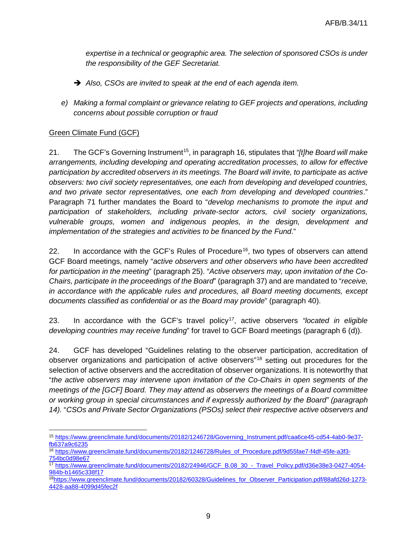*expertise in a technical or geographic area. The selection of sponsored CSOs is under the responsibility of the GEF Secretariat.*

- *Also, CSOs are invited to speak at the end of each agenda item.*
- *e) Making a formal complaint or grievance relating to GEF projects and operations, including concerns about possible corruption or fraud*

## Green Climate Fund (GCF)

21. The GCF's Governing Instrument[15](#page-9-0), in paragraph 16, stipulates that *"[t]he Board will make arrangements, including developing and operating accreditation processes, to allow for effective participation by accredited observers in its meetings. The Board will invite, to participate as active observers: two civil society representatives, one each from developing and developed countries, and two private sector representatives, one each from developing and developed countries*." Paragraph 71 further mandates the Board to "*develop mechanisms to promote the input and participation of stakeholders, including private-sector actors, civil society organizations, vulnerable groups, women and indigenous peoples, in the design, development and implementation of the strategies and activities to be financed by the Fund*."

22. In accordance with the GCF's Rules of Procedure<sup>[16](#page-9-1)</sup>, two types of observers can attend GCF Board meetings, namely "*active observers and other observers who have been accredited for participation in the meeting*" (paragraph 25). "*Active observers may, upon invitation of the Co-Chairs, participate in the proceedings of the Board*" (paragraph 37) and are mandated to "*receive, in accordance with the applicable rules and procedures, all Board meeting documents, except documents classified as confidential or as the Board may provide*" (paragraph 40).

23. In accordance with the GCF's travel policy[17,](#page-9-2) active observers *"located in eligible developing countries may receive funding*" for travel to GCF Board meetings (paragraph 6 (d)).

24. GCF has developed "Guidelines relating to the observer participation, accreditation of observer organizations and participation of active observers"[18](#page-9-3) setting out procedures for the selection of active observers and the accreditation of observer organizations. It is noteworthy that "*the active observers may intervene upon invitation of the Co-Chairs in open segments of the meetings of the [GCF] Board. They may attend as observers the meetings of a Board committee or working group in special circumstances and if expressly authorized by the Board" (paragraph 14).* "*CSOs and Private Sector Organizations (PSOs) select their respective active observers and* 

<span id="page-9-0"></span> $\overline{a}$ <sup>15</sup> [https://www.greenclimate.fund/documents/20182/1246728/Governing\\_Instrument.pdf/caa6ce45-cd54-4ab0-9e37](https://www.greenclimate.fund/documents/20182/1246728/Governing_Instrument.pdf/caa6ce45-cd54-4ab0-9e37-fb637a9c6235) [fb637a9c6235](https://www.greenclimate.fund/documents/20182/1246728/Governing_Instrument.pdf/caa6ce45-cd54-4ab0-9e37-fb637a9c6235)

<span id="page-9-1"></span><sup>&</sup>lt;sup>16</sup> [https://www.greenclimate.fund/documents/20182/1246728/Rules\\_of\\_Procedure.pdf/9d55fae7-f4df-45fe-a3f3-](https://www.greenclimate.fund/documents/20182/1246728/Rules_of_Procedure.pdf/9d55fae7-f4df-45fe-a3f3-754bc0d98e67) [754bc0d98e67](https://www.greenclimate.fund/documents/20182/1246728/Rules_of_Procedure.pdf/9d55fae7-f4df-45fe-a3f3-754bc0d98e67)

<span id="page-9-2"></span><sup>17</sup> [https://www.greenclimate.fund/documents/20182/24946/GCF\\_B.08\\_30\\_-\\_Travel\\_Policy.pdf/d36e38e3-0427-4054-](https://www.greenclimate.fund/documents/20182/24946/GCF_B.08_30_-_Travel_Policy.pdf/d36e38e3-0427-4054-984b-b1465c338f17) [984b-b1465c338f17](https://www.greenclimate.fund/documents/20182/24946/GCF_B.08_30_-_Travel_Policy.pdf/d36e38e3-0427-4054-984b-b1465c338f17)

<span id="page-9-3"></span><sup>1</sup>[8https://www.greenclimate.fund/documents/20182/60328/Guidelines\\_for\\_Observer\\_Participation.pdf/88afd26d-1273-](https://www.greenclimate.fund/documents/20182/60328/Guidelines_for_Observer_Participation.pdf/88afd26d-1273-4428-aa88-4099d45fec2f) [4428-aa88-4099d45fec2f](https://www.greenclimate.fund/documents/20182/60328/Guidelines_for_Observer_Participation.pdf/88afd26d-1273-4428-aa88-4099d45fec2f)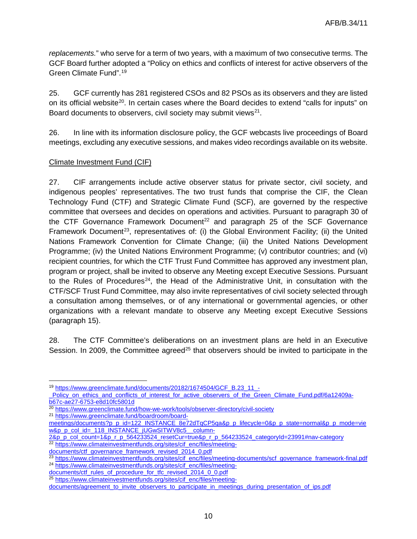*replacements.*" who serve for a term of two years, with a maximum of two consecutive terms. The GCF Board further adopted a "Policy on ethics and conflicts of interest for active observers of the Green Climate Fund".[19](#page-10-0)

25. GCF currently has 281 registered CSOs and 82 PSOs as its observers and they are listed on its official website<sup>[20](#page-10-1)</sup>. In certain cases where the Board decides to extend "calls for inputs" on Board documents to observers, civil society may submit views<sup>21</sup>.

26. In line with its information disclosure policy, the GCF webcasts live proceedings of Board meetings, excluding any executive sessions, and makes video recordings available on its website.

## Climate Investment Fund (CIF)

27. CIF arrangements include active observer status for private sector, civil society, and indigenous peoples' representatives. The two trust funds that comprise the CIF, the Clean Technology Fund (CTF) and Strategic Climate Fund (SCF), are governed by the respective committee that oversees and decides on operations and activities. Pursuant to paragraph 30 of the CTF Governance Framework Document<sup>[22](#page-10-3)</sup> and paragraph 25 of the SCF Governance Framework Document<sup>23</sup>, representatives of: (i) the Global Environment Facility; (ii) the United Nations Framework Convention for Climate Change; (iii) the United Nations Development Programme; (iv) the United Nations Environment Programme; (v) contributor countries; and (vi) recipient countries, for which the CTF Trust Fund Committee has approved any investment plan, program or project, shall be invited to observe any Meeting except Executive Sessions. Pursuant to the Rules of Procedures<sup>24</sup>, the Head of the Administrative Unit, in consultation with the CTF/SCF Trust Fund Committee, may also invite representatives of civil society selected through a consultation among themselves, or of any international or governmental agencies, or other organizations with a relevant mandate to observe any Meeting except Executive Sessions (paragraph 15).

28. The CTF Committee's deliberations on an investment plans are held in an Executive Session. In 2009, the Committee agreed<sup>25</sup> that observers should be invited to participate in the

[documents/ctf\\_rules\\_of\\_procedure\\_for\\_tfc\\_revised\\_2014\\_0\\_0.pdf](https://www.climateinvestmentfunds.org/sites/cif_enc/files/meeting-documents/ctf_rules_of_procedure_for_tfc_revised_2014_0_0.pdf)

 $\overline{a}$ <sup>19</sup> [https://www.greenclimate.fund/documents/20182/1674504/GCF\\_B.23\\_11\\_-](https://www.greenclimate.fund/documents/20182/1674504/GCF_B.23_11_-_Policy_on_ethics_and_conflicts_of_interest_for_active_observers_of_the_Green_Climate_Fund.pdf/6a12409a-b67c-ae27-6753-e8d10fc5801d)

<span id="page-10-0"></span>Policy on ethics and conflicts of interest for active observers of the Green Climate Fund.pdf/6a12409a[b67c-ae27-6753-e8d10fc5801d](https://www.greenclimate.fund/documents/20182/1674504/GCF_B.23_11_-_Policy_on_ethics_and_conflicts_of_interest_for_active_observers_of_the_Green_Climate_Fund.pdf/6a12409a-b67c-ae27-6753-e8d10fc5801d)

<sup>&</sup>lt;sup>20</sup> <https://www.greenclimate.fund/how-we-work/tools/observer-directory/civil-society>

<span id="page-10-2"></span><span id="page-10-1"></span><sup>21</sup> [https://www.greenclimate.fund/boardroom/board-](https://www.greenclimate.fund/boardroom/board-meetings/documents?p_p_id=122_INSTANCE_8e72dTqCP5qa&p_p_lifecycle=0&p_p_state=normal&p_p_mode=view&p_p_col_id=_118_INSTANCE_jUGwSITWV8c5__column-2&p_p_col_count=1&p_r_p_564233524_resetCur=true&p_r_p_564233524_categoryId=23991#nav-category)

[meetings/documents?p\\_p\\_id=122\\_INSTANCE\\_8e72dTqCP5qa&p\\_p\\_lifecycle=0&p\\_p\\_state=normal&p\\_p\\_mode=vie](https://www.greenclimate.fund/boardroom/board-meetings/documents?p_p_id=122_INSTANCE_8e72dTqCP5qa&p_p_lifecycle=0&p_p_state=normal&p_p_mode=view&p_p_col_id=_118_INSTANCE_jUGwSITWV8c5__column-2&p_p_col_count=1&p_r_p_564233524_resetCur=true&p_r_p_564233524_categoryId=23991#nav-category) [w&p\\_p\\_col\\_id=\\_118\\_INSTANCE\\_jUGwSITWV8c5\\_\\_column-](https://www.greenclimate.fund/boardroom/board-meetings/documents?p_p_id=122_INSTANCE_8e72dTqCP5qa&p_p_lifecycle=0&p_p_state=normal&p_p_mode=view&p_p_col_id=_118_INSTANCE_jUGwSITWV8c5__column-2&p_p_col_count=1&p_r_p_564233524_resetCur=true&p_r_p_564233524_categoryId=23991#nav-category)

[<sup>2&</sup>amp;p\\_p\\_col\\_count=1&p\\_r\\_p\\_564233524\\_resetCur=true&p\\_r\\_p\\_564233524\\_categoryId=23991#nav-category](https://www.greenclimate.fund/boardroom/board-meetings/documents?p_p_id=122_INSTANCE_8e72dTqCP5qa&p_p_lifecycle=0&p_p_state=normal&p_p_mode=view&p_p_col_id=_118_INSTANCE_jUGwSITWV8c5__column-2&p_p_col_count=1&p_r_p_564233524_resetCur=true&p_r_p_564233524_categoryId=23991#nav-category) <sup>22</sup> [https://www.climateinvestmentfunds.org/sites/cif\\_enc/files/meeting-](https://www.climateinvestmentfunds.org/sites/cif_enc/files/meeting-documents/ctf_governance_framework_revised_2014_0.pdf)

<span id="page-10-3"></span>[documents/ctf\\_governance\\_framework\\_revised\\_2014\\_0.pdf](https://www.climateinvestmentfunds.org/sites/cif_enc/files/meeting-documents/ctf_governance_framework_revised_2014_0.pdf)

<span id="page-10-5"></span><span id="page-10-4"></span><sup>23</sup> [https://www.climateinvestmentfunds.org/sites/cif\\_enc/files/meeting-documents/scf\\_governance\\_framework-final.pdf](https://www.climateinvestmentfunds.org/sites/cif_enc/files/meeting-documents/scf_governance_framework-final.pdf) <sup>24</sup> [https://www.climateinvestmentfunds.org/sites/cif\\_enc/files/meeting-](https://www.climateinvestmentfunds.org/sites/cif_enc/files/meeting-documents/ctf_rules_of_procedure_for_tfc_revised_2014_0_0.pdf)

<sup>&</sup>lt;sup>25</sup> [https://www.climateinvestmentfunds.org/sites/cif\\_enc/files/meeting-](https://www.climateinvestmentfunds.org/sites/cif_enc/files/meeting-documents/agreement_to_invite_observers_to_participate_in_meetings_during_presentation_of_ips.pdf)

<span id="page-10-6"></span>documents/agreement to invite observers to participate in meetings during presentation of ips.pdf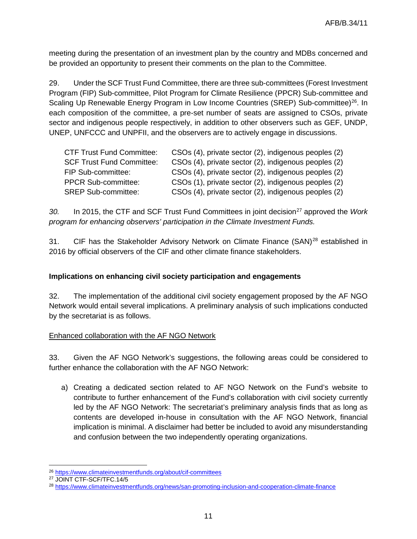meeting during the presentation of an investment plan by the country and MDBs concerned and be provided an opportunity to present their comments on the plan to the Committee.

29. Under the SCF Trust Fund Committee, there are three sub-committees (Forest Investment Program (FIP) Sub-committee, Pilot Program for Climate Resilience (PPCR) Sub-committee and Scaling Up Renewable Energy Program in Low Income Countries (SREP) Sub-committee)<sup>26</sup>. In each composition of the committee, a pre-set number of seats are assigned to CSOs, private sector and indigenous people respectively, in addition to other observers such as GEF, UNDP, UNEP, UNFCCC and UNPFII, and the observers are to actively engage in discussions.

| <b>CTF Trust Fund Committee:</b> | CSOs (4), private sector (2), indigenous peoples (2) |
|----------------------------------|------------------------------------------------------|
| <b>SCF Trust Fund Committee:</b> | CSOs (4), private sector (2), indigenous peoples (2) |
| FIP Sub-committee:               | CSOs (4), private sector (2), indigenous peoples (2) |
| <b>PPCR Sub-committee:</b>       | CSOs (1), private sector (2), indigenous peoples (2) |
| <b>SREP Sub-committee:</b>       | CSOs (4), private sector (2), indigenous peoples (2) |

*30.* In 2015, the CTF and SCF Trust Fund Committees in joint decision[27](#page-11-1) approved the *Work program for enhancing observers' participation in the Climate Investment Funds.*

31. CIF has the Stakeholder Advisory Network on Climate Finance  $(SAN)^{28}$  $(SAN)^{28}$  $(SAN)^{28}$  established in 2016 by official observers of the CIF and other climate finance stakeholders.

#### **Implications on enhancing civil society participation and engagements**

32. The implementation of the additional civil society engagement proposed by the AF NGO Network would entail several implications. A preliminary analysis of such implications conducted by the secretariat is as follows.

#### Enhanced collaboration with the AF NGO Network

33. Given the AF NGO Network's suggestions, the following areas could be considered to further enhance the collaboration with the AF NGO Network:

a) Creating a dedicated section related to AF NGO Network on the Fund's website to contribute to further enhancement of the Fund's collaboration with civil society currently led by the AF NGO Network: The secretariat's preliminary analysis finds that as long as contents are developed in-house in consultation with the AF NGO Network, financial implication is minimal. A disclaimer had better be included to avoid any misunderstanding and confusion between the two independently operating organizations.

 $\overline{a}$ <sup>26</sup> <https://www.climateinvestmentfunds.org/about/cif-committees>

<span id="page-11-1"></span><span id="page-11-0"></span><sup>27</sup> JOINT CTF-SCF/TFC.14/5

<span id="page-11-2"></span><sup>28</sup> <https://www.climateinvestmentfunds.org/news/san-promoting-inclusion-and-cooperation-climate-finance>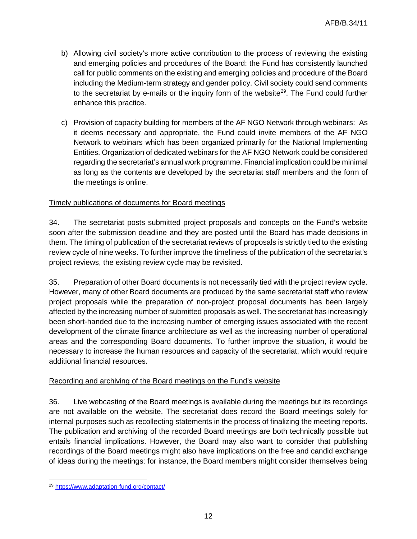- b) Allowing civil society's more active contribution to the process of reviewing the existing and emerging policies and procedures of the Board: the Fund has consistently launched call for public comments on the existing and emerging policies and procedure of the Board including the Medium-term strategy and gender policy. Civil society could send comments to the secretariat by e-mails or the inquiry form of the website<sup>[29](#page-12-0)</sup>. The Fund could further enhance this practice.
- c) Provision of capacity building for members of the AF NGO Network through webinars: As it deems necessary and appropriate, the Fund could invite members of the AF NGO Network to webinars which has been organized primarily for the National Implementing Entities. Organization of dedicated webinars for the AF NGO Network could be considered regarding the secretariat's annual work programme. Financial implication could be minimal as long as the contents are developed by the secretariat staff members and the form of the meetings is online.

## Timely publications of documents for Board meetings

34. The secretariat posts submitted project proposals and concepts on the Fund's website soon after the submission deadline and they are posted until the Board has made decisions in them. The timing of publication of the secretariat reviews of proposals is strictly tied to the existing review cycle of nine weeks. To further improve the timeliness of the publication of the secretariat's project reviews, the existing review cycle may be revisited.

35. Preparation of other Board documents is not necessarily tied with the project review cycle. However, many of other Board documents are produced by the same secretariat staff who review project proposals while the preparation of non-project proposal documents has been largely affected by the increasing number of submitted proposals as well. The secretariat has increasingly been short-handed due to the increasing number of emerging issues associated with the recent development of the climate finance architecture as well as the increasing number of operational areas and the corresponding Board documents. To further improve the situation, it would be necessary to increase the human resources and capacity of the secretariat, which would require additional financial resources.

#### Recording and archiving of the Board meetings on the Fund's website

36. Live webcasting of the Board meetings is available during the meetings but its recordings are not available on the website. The secretariat does record the Board meetings solely for internal purposes such as recollecting statements in the process of finalizing the meeting reports. The publication and archiving of the recorded Board meetings are both technically possible but entails financial implications. However, the Board may also want to consider that publishing recordings of the Board meetings might also have implications on the free and candid exchange of ideas during the meetings: for instance, the Board members might consider themselves being

<span id="page-12-0"></span> $\overline{a}$ <sup>29</sup> <https://www.adaptation-fund.org/contact/>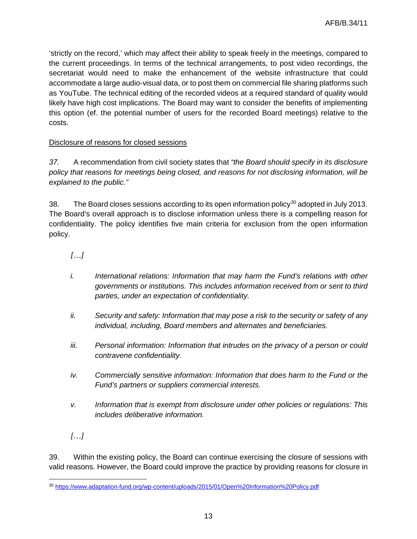'strictly on the record,' which may affect their ability to speak freely in the meetings, compared to the current proceedings. In terms of the technical arrangements, to post video recordings, the secretariat would need to make the enhancement of the website infrastructure that could accommodate a large audio-visual data, or to post them on commercial file sharing platforms such as YouTube. The technical editing of the recorded videos at a required standard of quality would likely have high cost implications. The Board may want to consider the benefits of implementing this option (ef. the potential number of users for the recorded Board meetings) relative to the costs.

## Disclosure of reasons for closed sessions

*37.* A recommendation from civil society states that *"the Board should specify in its disclosure policy that reasons for meetings being closed, and reasons for not disclosing information, will be explained to the public."*

38. The Board closes sessions according to its open information policy $30$  adopted in July 2013. The Board's overall approach is to disclose information unless there is a compelling reason for confidentiality. The policy identifies five main criteria for exclusion from the open information policy.

*[…]*

- *i. International relations: Information that may harm the Fund's relations with other governments or institutions. This includes information received from or sent to third parties, under an expectation of confidentiality.*
- *ii. Security and safety: Information that may pose a risk to the security or safety of any individual, including, Board members and alternates and beneficiaries.*
- *iii. Personal information: Information that intrudes on the privacy of a person or could contravene confidentiality.*
- *iv. Commercially sensitive information: Information that does harm to the Fund or the Fund's partners or suppliers commercial interests.*
- *v. Information that is exempt from disclosure under other policies or regulations: This includes deliberative information.*

*[…]*

39. Within the existing policy, the Board can continue exercising the closure of sessions with valid reasons. However, the Board could improve the practice by providing reasons for closure in

<span id="page-13-0"></span> $\overline{a}$ <sup>30</sup> <https://www.adaptation-fund.org/wp-content/uploads/2015/01/Open%20Information%20Policy.pdf>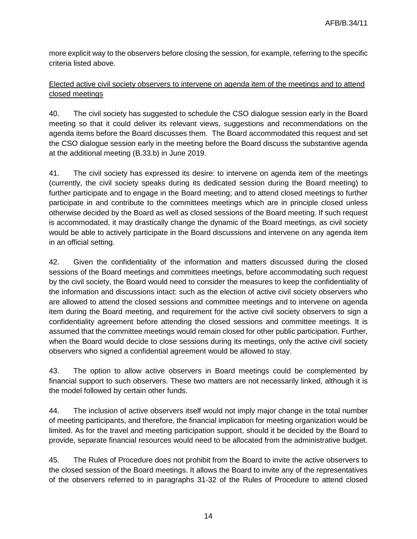more explicit way to the observers before closing the session, for example, referring to the specific criteria listed above.

## Elected active civil society observers to intervene on agenda item of the meetings and to attend closed meetings

40. The civil society has suggested to schedule the CSO dialogue session early in the Board meeting so that it could deliver its relevant views, suggestions and recommendations on the agenda items before the Board discusses them. The Board accommodated this request and set the CSO dialogue session early in the meeting before the Board discuss the substantive agenda at the additional meeting (B.33.b) in June 2019.

41. The civil society has expressed its desire: to intervene on agenda item of the meetings (currently, the civil society speaks during its dedicated session during the Board meeting) to further participate and to engage in the Board meeting; and to attend closed meetings to further participate in and contribute to the committees meetings which are in principle closed unless otherwise decided by the Board as well as closed sessions of the Board meeting. If such request is accommodated, it may drastically change the dynamic of the Board meetings, as civil society would be able to actively participate in the Board discussions and intervene on any agenda item in an official setting.

42. Given the confidentiality of the information and matters discussed during the closed sessions of the Board meetings and committees meetings, before accommodating such request by the civil society, the Board would need to consider the measures to keep the confidentiality of the information and discussions intact: such as the election of active civil society observers who are allowed to attend the closed sessions and committee meetings and to intervene on agenda item during the Board meeting, and requirement for the active civil society observers to sign a confidentiality agreement before attending the closed sessions and committee meetings. It is assumed that the committee meetings would remain closed for other public participation. Further, when the Board would decide to close sessions during its meetings, only the active civil society observers who signed a confidential agreement would be allowed to stay.

43. The option to allow active observers in Board meetings could be complemented by financial support to such observers. These two matters are not necessarily linked, although it is the model followed by certain other funds.

44. The inclusion of active observers itself would not imply major change in the total number of meeting participants, and therefore, the financial implication for meeting organization would be limited. As for the travel and meeting participation support, should it be decided by the Board to provide, separate financial resources would need to be allocated from the administrative budget.

45. The Rules of Procedure does not prohibit from the Board to invite the active observers to the closed session of the Board meetings. It allows the Board to invite any of the representatives of the observers referred to in paragraphs 31-32 of the Rules of Procedure to attend closed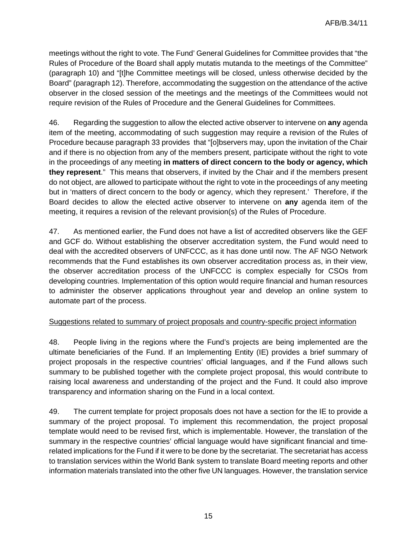meetings without the right to vote. The Fund' General Guidelines for Committee provides that "the Rules of Procedure of the Board shall apply mutatis mutanda to the meetings of the Committee" (paragraph 10) and "[t]he Committee meetings will be closed, unless otherwise decided by the Board" (paragraph 12). Therefore, accommodating the suggestion on the attendance of the active observer in the closed session of the meetings and the meetings of the Committees would not require revision of the Rules of Procedure and the General Guidelines for Committees.

46. Regarding the suggestion to allow the elected active observer to intervene on **any** agenda item of the meeting, accommodating of such suggestion may require a revision of the Rules of Procedure because paragraph 33 provides that "[o]bservers may, upon the invitation of the Chair and if there is no objection from any of the members present, participate without the right to vote in the proceedings of any meeting **in matters of direct concern to the body or agency, which they represent**." This means that observers, if invited by the Chair and if the members present do not object, are allowed to participate without the right to vote in the proceedings of any meeting but in 'matters of direct concern to the body or agency, which they represent.' Therefore, if the Board decides to allow the elected active observer to intervene on **any** agenda item of the meeting, it requires a revision of the relevant provision(s) of the Rules of Procedure.

47. As mentioned earlier, the Fund does not have a list of accredited observers like the GEF and GCF do. Without establishing the observer accreditation system, the Fund would need to deal with the accredited observers of UNFCCC, as it has done until now. The AF NGO Network recommends that the Fund establishes its own observer accreditation process as, in their view, the observer accreditation process of the UNFCCC is complex especially for CSOs from developing countries. Implementation of this option would require financial and human resources to administer the observer applications throughout year and develop an online system to automate part of the process.

#### Suggestions related to summary of project proposals and country-specific project information

48. People living in the regions where the Fund's projects are being implemented are the ultimate beneficiaries of the Fund. If an Implementing Entity (IE) provides a brief summary of project proposals in the respective countries' official languages, and if the Fund allows such summary to be published together with the complete project proposal, this would contribute to raising local awareness and understanding of the project and the Fund. It could also improve transparency and information sharing on the Fund in a local context.

49. The current template for project proposals does not have a section for the IE to provide a summary of the project proposal. To implement this recommendation, the project proposal template would need to be revised first, which is implementable. However, the translation of the summary in the respective countries' official language would have significant financial and timerelated implications for the Fund if it were to be done by the secretariat. The secretariat has access to translation services within the World Bank system to translate Board meeting reports and other information materials translated into the other five UN languages. However, the translation service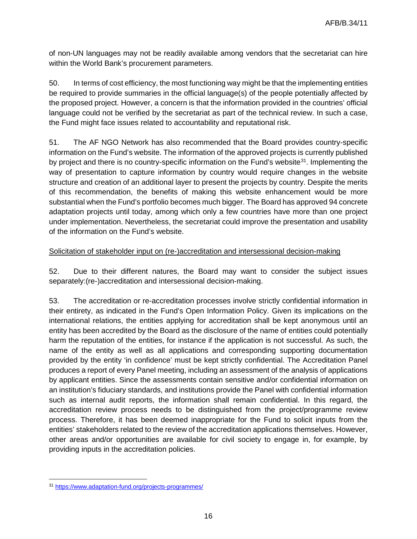of non-UN languages may not be readily available among vendors that the secretariat can hire within the World Bank's procurement parameters.

50. In terms of cost efficiency, the most functioning way might be that the implementing entities be required to provide summaries in the official language(s) of the people potentially affected by the proposed project. However, a concern is that the information provided in the countries' official language could not be verified by the secretariat as part of the technical review. In such a case, the Fund might face issues related to accountability and reputational risk.

51. The AF NGO Network has also recommended that the Board provides country-specific information on the Fund's website. The information of the approved projects is currently published by project and there is no country-specific information on the Fund's website<sup>31</sup>. Implementing the way of presentation to capture information by country would require changes in the website structure and creation of an additional layer to present the projects by country. Despite the merits of this recommendation, the benefits of making this website enhancement would be more substantial when the Fund's portfolio becomes much bigger. The Board has approved 94 concrete adaptation projects until today, among which only a few countries have more than one project under implementation. Nevertheless, the secretariat could improve the presentation and usability of the information on the Fund's website.

#### Solicitation of stakeholder input on (re-)accreditation and intersessional decision-making

52. Due to their different natures, the Board may want to consider the subject issues separately:(re-)accreditation and intersessional decision-making.

53. The accreditation or re-accreditation processes involve strictly confidential information in their entirety, as indicated in the Fund's Open Information Policy. Given its implications on the international relations, the entities applying for accreditation shall be kept anonymous until an entity has been accredited by the Board as the disclosure of the name of entities could potentially harm the reputation of the entities, for instance if the application is not successful. As such, the name of the entity as well as all applications and corresponding supporting documentation provided by the entity 'in confidence' must be kept strictly confidential. The Accreditation Panel produces a report of every Panel meeting, including an assessment of the analysis of applications by applicant entities. Since the assessments contain sensitive and/or confidential information on an institution's fiduciary standards, and institutions provide the Panel with confidential information such as internal audit reports, the information shall remain confidential. In this regard, the accreditation review process needs to be distinguished from the project/programme review process. Therefore, it has been deemed inappropriate for the Fund to solicit inputs from the entities' stakeholders related to the review of the accreditation applications themselves. However, other areas and/or opportunities are available for civil society to engage in, for example, by providing inputs in the accreditation policies.

<span id="page-16-0"></span> $\overline{a}$ <sup>31</sup> <https://www.adaptation-fund.org/projects-programmes/>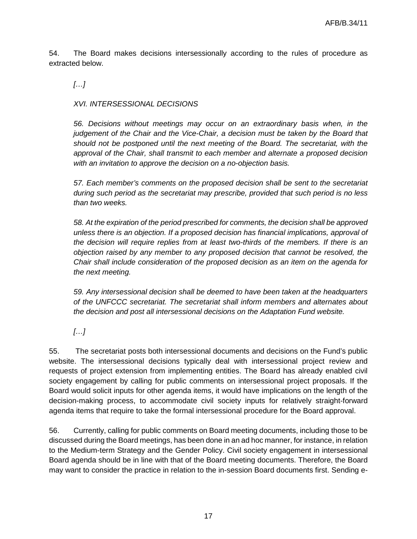54. The Board makes decisions intersessionally according to the rules of procedure as extracted below.

*[…]*

*XVI. INTERSESSIONAL DECISIONS*

*56. Decisions without meetings may occur on an extraordinary basis when, in the judgement of the Chair and the Vice-Chair, a decision must be taken by the Board that should not be postponed until the next meeting of the Board. The secretariat, with the approval of the Chair, shall transmit to each member and alternate a proposed decision with an invitation to approve the decision on a no-objection basis.*

*57. Each member's comments on the proposed decision shall be sent to the secretariat during such period as the secretariat may prescribe, provided that such period is no less than two weeks.*

*58. At the expiration of the period prescribed for comments, the decision shall be approved unless there is an objection. If a proposed decision has financial implications, approval of the decision will require replies from at least two-thirds of the members. If there is an objection raised by any member to any proposed decision that cannot be resolved, the Chair shall include consideration of the proposed decision as an item on the agenda for the next meeting.*

*59. Any intersessional decision shall be deemed to have been taken at the headquarters of the UNFCCC secretariat. The secretariat shall inform members and alternates about the decision and post all intersessional decisions on the Adaptation Fund website.*

*[…]*

55. The secretariat posts both intersessional documents and decisions on the Fund's public website. The intersessional decisions typically deal with intersessional project review and requests of project extension from implementing entities. The Board has already enabled civil society engagement by calling for public comments on intersessional project proposals. If the Board would solicit inputs for other agenda items, it would have implications on the length of the decision-making process, to accommodate civil society inputs for relatively straight-forward agenda items that require to take the formal intersessional procedure for the Board approval.

56. Currently, calling for public comments on Board meeting documents, including those to be discussed during the Board meetings, has been done in an ad hoc manner, for instance, in relation to the Medium-term Strategy and the Gender Policy. Civil society engagement in intersessional Board agenda should be in line with that of the Board meeting documents. Therefore, the Board may want to consider the practice in relation to the in-session Board documents first. Sending e